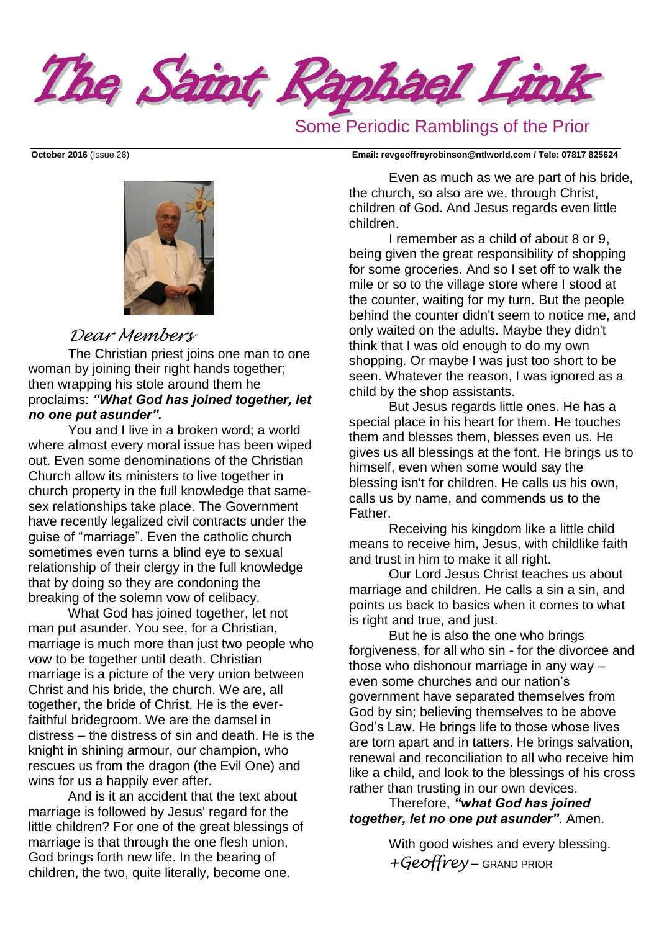The Saint Raphael Link

# Some Periodic Ramblings of the Prior



### *Dear Members*

The Christian priest joins one man to one woman by joining their right hands together; then wrapping his stole around them he proclaims: *"What God has joined together, let no one put asunder".*

You and I live in a broken word; a world where almost every moral issue has been wiped out. Even some denominations of the Christian Church allow its ministers to live together in church property in the full knowledge that samesex relationships take place. The Government have recently legalized civil contracts under the guise of "marriage". Even the catholic church sometimes even turns a blind eye to sexual relationship of their clergy in the full knowledge that by doing so they are condoning the breaking of the solemn vow of celibacy.

What God has joined together, let not man put asunder. You see, for a Christian, marriage is much more than just two people who vow to be together until death. Christian marriage is a picture of the very union between Christ and his bride, the church. We are, all together, the bride of Christ. He is the everfaithful bridegroom. We are the damsel in distress – the distress of sin and death. He is the knight in shining armour, our champion, who rescues us from the dragon (the Evil One) and wins for us a happily ever after.

And is it an accident that the text about marriage is followed by Jesus' regard for the little children? For one of the great blessings of marriage is that through the one flesh union, God brings forth new life. In the bearing of children, the two, quite literally, become one.

**October 2016** (Issue 26) **Email: [revgeoffreyrobinson@ntlworld.com](mailto:revgeoffreyrobinson@ntlworld.com) / Tele: 07817 825624**

Even as much as we are part of his bride, the church, so also are we, through Christ, children of God. And Jesus regards even little children.

I remember as a child of about 8 or 9, being given the great responsibility of shopping for some groceries. And so I set off to walk the mile or so to the village store where I stood at the counter, waiting for my turn. But the people behind the counter didn't seem to notice me, and only waited on the adults. Maybe they didn't think that I was old enough to do my own shopping. Or maybe I was just too short to be seen. Whatever the reason, I was ignored as a child by the shop assistants.

But Jesus regards little ones. He has a special place in his heart for them. He touches them and blesses them, blesses even us. He gives us all blessings at the font. He brings us to himself, even when some would say the blessing isn't for children. He calls us his own, calls us by name, and commends us to the Father.

Receiving his kingdom like a little child means to receive him, Jesus, with childlike faith and trust in him to make it all right.

Our Lord Jesus Christ teaches us about marriage and children. He calls a sin a sin, and points us back to basics when it comes to what is right and true, and just.

But he is also the one who brings forgiveness, for all who sin - for the divorcee and those who dishonour marriage in any way – even some churches and our nation's government have separated themselves from God by sin; believing themselves to be above God's Law. He brings life to those whose lives are torn apart and in tatters. He brings salvation, renewal and reconciliation to all who receive him like a child, and look to the blessings of his cross rather than trusting in our own devices.

Therefore, *"what God has joined together, let no one put asunder"*. Amen.

> With good wishes and every blessing. *+Geoffrey* – GRAND PRIOR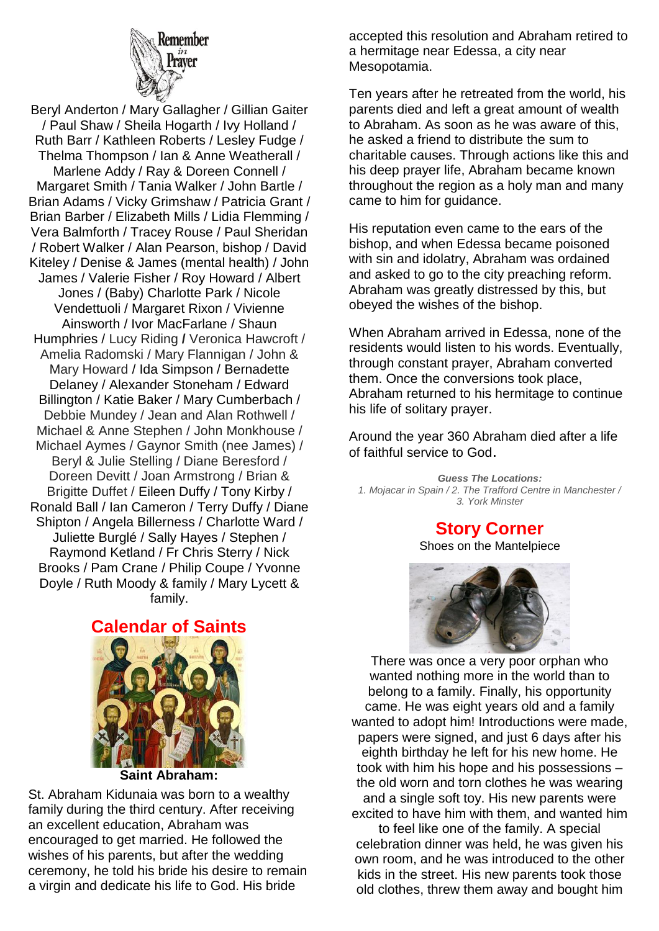

Beryl Anderton / Mary Gallagher / Gillian Gaiter / Paul Shaw / Sheila Hogarth / Ivy Holland / Ruth Barr / Kathleen Roberts / Lesley Fudge / Thelma Thompson / Ian & Anne Weatherall / Marlene Addy / Ray & Doreen Connell / Margaret Smith / Tania Walker / John Bartle / Brian Adams / Vicky Grimshaw / Patricia Grant / Brian Barber / Elizabeth Mills / Lidia Flemming / Vera Balmforth / Tracey Rouse / Paul Sheridan / Robert Walker / Alan Pearson, bishop / David Kiteley / Denise & James (mental health) / John James / Valerie Fisher / Roy Howard / Albert Jones / (Baby) Charlotte Park / Nicole Vendettuoli / Margaret Rixon / Vivienne Ainsworth / Ivor MacFarlane / Shaun Humphries / Lucy Riding **/** Veronica Hawcroft / Amelia Radomski / Mary Flannigan / John & Mary Howard / Ida Simpson / Bernadette Delaney / Alexander Stoneham / Edward Billington / Katie Baker / Mary Cumberbach / Debbie Mundey / Jean and Alan Rothwell / Michael & Anne Stephen / John Monkhouse / Michael Aymes / Gaynor Smith (nee James) / Beryl & Julie Stelling / Diane Beresford / Doreen Devitt / Joan Armstrong / Brian & Brigitte Duffet / Eileen Duffy / Tony Kirby / Ronald Ball / Ian Cameron / Terry Duffy / Diane Shipton / Angela Billerness / Charlotte Ward / Juliette Burglé / Sally Hayes / Stephen / Raymond Ketland / Fr Chris Sterry / Nick Brooks / Pam Crane / Philip Coupe / Yvonne Doyle / Ruth Moody & family / Mary Lycett & family.

# **Calendar of Saints**



St. Abraham Kidunaia was born to a wealthy family during the third century. After receiving an excellent education, Abraham was encouraged to get married. He followed the wishes of his parents, but after the wedding ceremony, he told his bride his desire to remain a virgin and dedicate his life to God. His bride

accepted this resolution and Abraham retired to a hermitage near Edessa, a city near Mesopotamia.

Ten years after he retreated from the world, his parents died and left a great amount of wealth to Abraham. As soon as he was aware of this, he asked a friend to distribute the sum to charitable causes. Through actions like this and his deep prayer life, Abraham became known throughout the region as a holy man and many came to him for guidance.

His reputation even came to the ears of the bishop, and when Edessa became poisoned with sin and idolatry, Abraham was ordained and asked to go to the city preaching reform. Abraham was greatly distressed by this, but obeyed the wishes of the bishop.

When Abraham arrived in Edessa, none of the residents would listen to his words. Eventually, through constant prayer, Abraham converted them. Once the conversions took place, Abraham returned to his hermitage to continue his life of solitary prayer.

Around the year 360 Abraham died after a life of faithful service to God.

*Guess The Locations: 1. Mojacar in Spain / 2. The Trafford Centre in Manchester / 3. York Minster*

**Story Corner**

Shoes on the Mantelpiece



There was once a very poor orphan who wanted nothing more in the world than to belong to a family. Finally, his opportunity came. He was eight years old and a family wanted to adopt him! Introductions were made, papers were signed, and just 6 days after his eighth birthday he left for his new home. He took with him his hope and his possessions – the old worn and torn clothes he was wearing and a single soft toy. His new parents were

excited to have him with them, and wanted him to feel like one of the family. A special celebration dinner was held, he was given his own room, and he was introduced to the other kids in the street. His new parents took those old clothes, threw them away and bought him